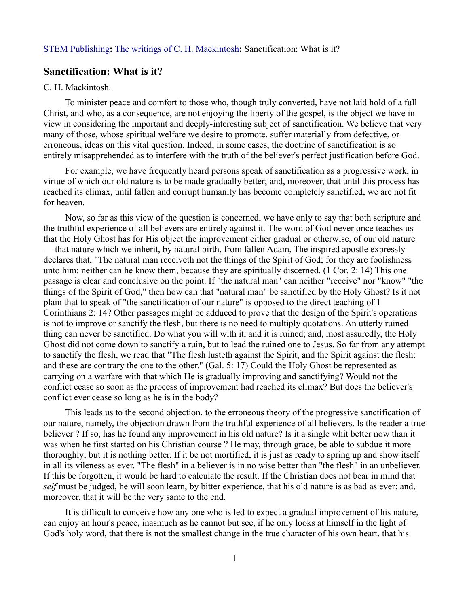## **Sanctification: What is it?**

## C. H. Mackintosh.

To minister peace and comfort to those who, though truly converted, have not laid hold of a full Christ, and who, as a consequence, are not enjoying the liberty of the gospel, is the object we have in view in considering the important and deeply-interesting subject of sanctification. We believe that very many of those, whose spiritual welfare we desire to promote, suffer materially from defective, or erroneous, ideas on this vital question. Indeed, in some cases, the doctrine of sanctification is so entirely misapprehended as to interfere with the truth of the believer's perfect justification before God.

For example, we have frequently heard persons speak of sanctification as a progressive work, in virtue of which our old nature is to be made gradually better; and, moreover, that until this process has reached its climax, until fallen and corrupt humanity has become completely sanctified, we are not fit for heaven.

Now, so far as this view of the question is concerned, we have only to say that both scripture and the truthful experience of all believers are entirely against it. The word of God never once teaches us that the Holy Ghost has for His object the improvement either gradual or otherwise, of our old nature — that nature which we inherit, by natural birth, from fallen Adam, The inspired apostle expressly declares that, "The natural man receiveth not the things of the Spirit of God; for they are foolishness unto him: neither can he know them, because they are spiritually discerned. (1 Cor. 2: 14) This one passage is clear and conclusive on the point. If "the natural man" can neither "receive" nor "know" "the things of the Spirit of God," then how can that "natural man" be sanctified by the Holy Ghost? Is it not plain that to speak of "the sanctification of our nature" is opposed to the direct teaching of 1 Corinthians 2: 14? Other passages might be adduced to prove that the design of the Spirit's operations is not to improve or sanctify the flesh, but there is no need to multiply quotations. An utterly ruined thing can never be sanctified. Do what you will with it, and it is ruined; and, most assuredly, the Holy Ghost did not come down to sanctify a ruin, but to lead the ruined one to Jesus. So far from any attempt to sanctify the flesh, we read that "The flesh lusteth against the Spirit, and the Spirit against the flesh: and these are contrary the one to the other." (Gal. 5: 17) Could the Holy Ghost be represented as carrying on a warfare with that which He is gradually improving and sanctifying? Would not the conflict cease so soon as the process of improvement had reached its climax? But does the believer's conflict ever cease so long as he is in the body?

This leads us to the second objection, to the erroneous theory of the progressive sanctification of our nature, namely, the objection drawn from the truthful experience of all believers. Is the reader a true believer ? If so, has he found any improvement in his old nature? Is it a single whit better now than it was when he first started on his Christian course ? He may, through grace, be able to subdue it more thoroughly; but it is nothing better. If it be not mortified, it is just as ready to spring up and show itself in all its vileness as ever. "The flesh" in a believer is in no wise better than "the flesh" in an unbeliever. If this be forgotten, it would be hard to calculate the result. If the Christian does not bear in mind that *self* must be judged, he will soon learn, by bitter experience, that his old nature is as bad as ever; and, moreover, that it will be the very same to the end.

It is difficult to conceive how any one who is led to expect a gradual improvement of his nature, can enjoy an hour's peace, inasmuch as he cannot but see, if he only looks at himself in the light of God's holy word, that there is not the smallest change in the true character of his own heart, that his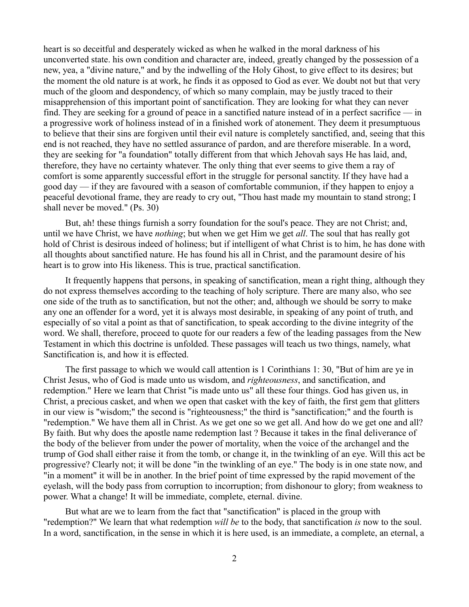heart is so deceitful and desperately wicked as when he walked in the moral darkness of his unconverted state. his own condition and character are, indeed, greatly changed by the possession of a new, yea, a "divine nature," and by the indwelling of the Holy Ghost, to give effect to its desires; but the moment the old nature is at work, he finds it as opposed to God as ever. We doubt not but that very much of the gloom and despondency, of which so many complain, may be justly traced to their misapprehension of this important point of sanctification. They are looking for what they can never find. They are seeking for a ground of peace in a sanctified nature instead of in a perfect sacrifice — in a progressive work of holiness instead of in a finished work of atonement. They deem it presumptuous to believe that their sins are forgiven until their evil nature is completely sanctified, and, seeing that this end is not reached, they have no settled assurance of pardon, and are therefore miserable. In a word, they are seeking for "a foundation" totally different from that which Jehovah says He has laid, and, therefore, they have no certainty whatever. The only thing that ever seems to give them a ray of comfort is some apparently successful effort in the struggle for personal sanctity. If they have had a good day — if they are favoured with a season of comfortable communion, if they happen to enjoy a peaceful devotional frame, they are ready to cry out, "Thou hast made my mountain to stand strong; I shall never be moved." (Ps. 30)

But, ah! these things furnish a sorry foundation for the soul's peace. They are not Christ; and, until we have Christ, we have *nothing*; but when we get Him we get *all*. The soul that has really got hold of Christ is desirous indeed of holiness; but if intelligent of what Christ is to him, he has done with all thoughts about sanctified nature. He has found his all in Christ, and the paramount desire of his heart is to grow into His likeness. This is true, practical sanctification.

It frequently happens that persons, in speaking of sanctification, mean a right thing, although they do not express themselves according to the teaching of holy scripture. There are many also, who see one side of the truth as to sanctification, but not the other; and, although we should be sorry to make any one an offender for a word, yet it is always most desirable, in speaking of any point of truth, and especially of so vital a point as that of sanctification, to speak according to the divine integrity of the word. We shall, therefore, proceed to quote for our readers a few of the leading passages from the New Testament in which this doctrine is unfolded. These passages will teach us two things, namely, what Sanctification is, and how it is effected.

The first passage to which we would call attention is 1 Corinthians 1: 30, "But of him are ye in Christ Jesus, who of God is made unto us wisdom, and *righteousness*, and sanctification, and redemption." Here we learn that Christ "is made unto us" all these four things. God has given us, in Christ, a precious casket, and when we open that casket with the key of faith, the first gem that glitters in our view is "wisdom;" the second is "righteousness;" the third is "sanctification;" and the fourth is "redemption." We have them all in Christ. As we get one so we get all. And how do we get one and all? By faith. But why does the apostle name redemption last ? Because it takes in the final deliverance of the body of the believer from under the power of mortality, when the voice of the archangel and the trump of God shall either raise it from the tomb, or change it, in the twinkling of an eye. Will this act be progressive? Clearly not; it will be done "in the twinkling of an eye." The body is in one state now, and "in a moment" it will be in another. In the brief point of time expressed by the rapid movement of the eyelash, will the body pass from corruption to incorruption; from dishonour to glory; from weakness to power. What a change! It will be immediate, complete, eternal. divine.

But what are we to learn from the fact that "sanctification" is placed in the group with "redemption?" We learn that what redemption *will be* to the body, that sanctification *is* now to the soul. In a word, sanctification, in the sense in which it is here used, is an immediate, a complete, an eternal, a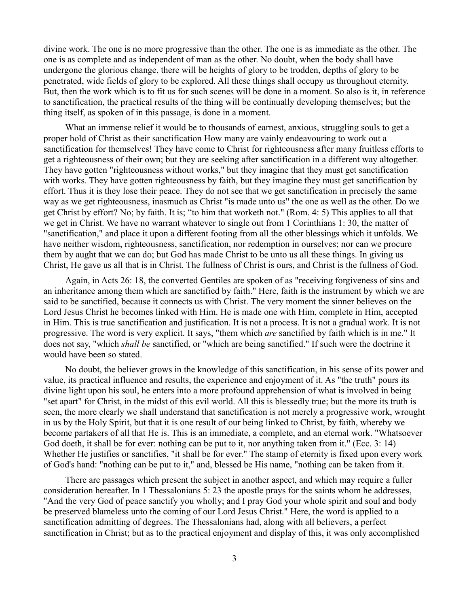divine work. The one is no more progressive than the other. The one is as immediate as the other. The one is as complete and as independent of man as the other. No doubt, when the body shall have undergone the glorious change, there will be heights of glory to be trodden, depths of glory to be penetrated, wide fields of glory to be explored. All these things shall occupy us throughout eternity. But, then the work which is to fit us for such scenes will be done in a moment. So also is it, in reference to sanctification, the practical results of the thing will be continually developing themselves; but the thing itself, as spoken of in this passage, is done in a moment.

What an immense relief it would be to thousands of earnest, anxious, struggling souls to get a proper hold of Christ as their sanctification How many are vainly endeavouring to work out a sanctification for themselves! They have come to Christ for righteousness after many fruitless efforts to get a righteousness of their own; but they are seeking after sanctification in a different way altogether. They have gotten "righteousness without works," but they imagine that they must get sanctification with works. They have gotten righteousness by faith, but they imagine they must get sanctification by effort. Thus it is they lose their peace. They do not see that we get sanctification in precisely the same way as we get righteousness, inasmuch as Christ "is made unto us" the one as well as the other. Do we get Christ by effort? No; by faith. It is; "to him that worketh not." (Rom. 4: 5) This applies to all that we get in Christ. We have no warrant whatever to single out from 1 Corinthians 1: 30, the matter of "sanctification," and place it upon a different footing from all the other blessings which it unfolds. We have neither wisdom, righteousness, sanctification, nor redemption in ourselves; nor can we procure them by aught that we can do; but God has made Christ to be unto us all these things. In giving us Christ, He gave us all that is in Christ. The fullness of Christ is ours, and Christ is the fullness of God.

Again, in Acts 26: 18, the converted Gentiles are spoken of as "receiving forgiveness of sins and an inheritance among them which are sanctified by faith." Here, faith is the instrument by which we are said to be sanctified, because it connects us with Christ. The very moment the sinner believes on the Lord Jesus Christ he becomes linked with Him. He is made one with Him, complete in Him, accepted in Him. This is true sanctification and justification. It is not a process. It is not a gradual work. It is not progressive. The word is very explicit. It says, "them which *are* sanctified by faith which is in me." It does not say, "which *shall be* sanctified, or "which are being sanctified." If such were the doctrine it would have been so stated.

No doubt, the believer grows in the knowledge of this sanctification, in his sense of its power and value, its practical influence and results, the experience and enjoyment of it. As "the truth" pours its divine light upon his soul, he enters into a more profound apprehension of what is involved in being "set apart" for Christ, in the midst of this evil world. All this is blessedly true; but the more its truth is seen, the more clearly we shall understand that sanctification is not merely a progressive work, wrought in us by the Holy Spirit, but that it is one result of our being linked to Christ, by faith, whereby we become partakers of all that He is. This is an immediate, a complete, and an eternal work. "Whatsoever God doeth, it shall be for ever: nothing can be put to it, nor anything taken from it." (Ecc. 3: 14) Whether He justifies or sanctifies, "it shall be for ever." The stamp of eternity is fixed upon every work of God's hand: "nothing can be put to it," and, blessed be His name, "nothing can be taken from it.

There are passages which present the subject in another aspect, and which may require a fuller consideration hereafter. In 1 Thessalonians 5: 23 the apostle prays for the saints whom he addresses, "And the very God of peace sanctify you wholly; and I pray God your whole spirit and soul and body be preserved blameless unto the coming of our Lord Jesus Christ." Here, the word is applied to a sanctification admitting of degrees. The Thessalonians had, along with all believers, a perfect sanctification in Christ; but as to the practical enjoyment and display of this, it was only accomplished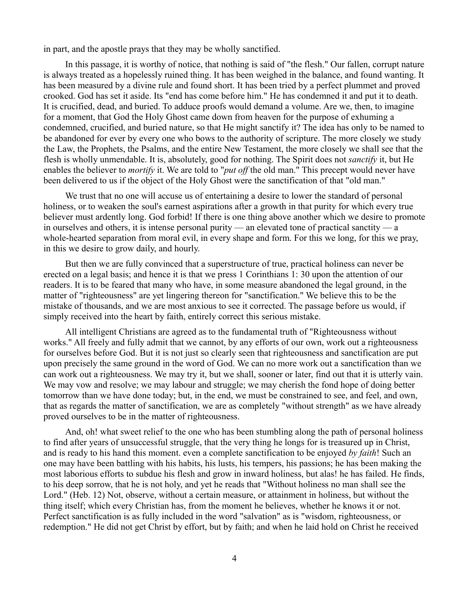in part, and the apostle prays that they may be wholly sanctified.

In this passage, it is worthy of notice, that nothing is said of "the flesh." Our fallen, corrupt nature is always treated as a hopelessly ruined thing. It has been weighed in the balance, and found wanting. It has been measured by a divine rule and found short. It has been tried by a perfect plummet and proved crooked. God has set it aside. Its "end has come before him." He has condemned it and put it to death. It is crucified, dead, and buried. To adduce proofs would demand a volume. Are we, then, to imagine for a moment, that God the Holy Ghost came down from heaven for the purpose of exhuming a condemned, crucified, and buried nature, so that He might sanctify it? The idea has only to be named to be abandoned for ever by every one who bows to the authority of scripture. The more closely we study the Law, the Prophets, the Psalms, and the entire New Testament, the more closely we shall see that the flesh is wholly unmendable. It is, absolutely, good for nothing. The Spirit does not *sanctify* it, but He enables the believer to *mortify* it. We are told to "*put off* the old man." This precept would never have been delivered to us if the object of the Holy Ghost were the sanctification of that "old man."

We trust that no one will accuse us of entertaining a desire to lower the standard of personal holiness, or to weaken the soul's earnest aspirations after a growth in that purity for which every true believer must ardently long. God forbid! If there is one thing above another which we desire to promote in ourselves and others, it is intense personal purity — an elevated tone of practical sanctity — a whole-hearted separation from moral evil, in every shape and form. For this we long, for this we pray, in this we desire to grow daily, and hourly.

But then we are fully convinced that a superstructure of true, practical holiness can never be erected on a legal basis; and hence it is that we press 1 Corinthians 1: 30 upon the attention of our readers. It is to be feared that many who have, in some measure abandoned the legal ground, in the matter of "righteousness" are yet lingering thereon for "sanctification." We believe this to be the mistake of thousands, and we are most anxious to see it corrected. The passage before us would, if simply received into the heart by faith, entirely correct this serious mistake.

All intelligent Christians are agreed as to the fundamental truth of "Righteousness without works." All freely and fully admit that we cannot, by any efforts of our own, work out a righteousness for ourselves before God. But it is not just so clearly seen that righteousness and sanctification are put upon precisely the same ground in the word of God. We can no more work out a sanctification than we can work out a righteousness. We may try it, but we shall, sooner or later, find out that it is utterly vain. We may vow and resolve; we may labour and struggle; we may cherish the fond hope of doing better tomorrow than we have done today; but, in the end, we must be constrained to see, and feel, and own, that as regards the matter of sanctification, we are as completely "without strength" as we have already proved ourselves to be in the matter of righteousness.

And, oh! what sweet relief to the one who has been stumbling along the path of personal holiness to find after years of unsuccessful struggle, that the very thing he longs for is treasured up in Christ, and is ready to his hand this moment. even a complete sanctification to be enjoyed *by faith*! Such an one may have been battling with his habits, his lusts, his tempers, his passions; he has been making the most laborious efforts to subdue his flesh and grow in inward holiness, but alas! he has failed. He finds, to his deep sorrow, that he is not holy, and yet he reads that "Without holiness no man shall see the Lord." (Heb. 12) Not, observe, without a certain measure, or attainment in holiness, but without the thing itself; which every Christian has, from the moment he believes, whether he knows it or not. Perfect sanctification is as fully included in the word "salvation" as is "wisdom, righteousness, or redemption." He did not get Christ by effort, but by faith; and when he laid hold on Christ he received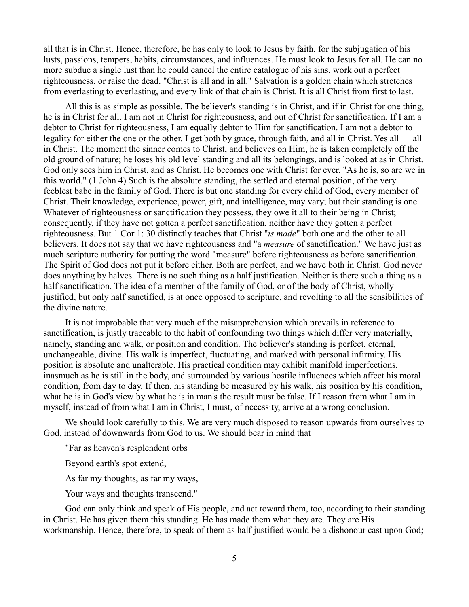all that is in Christ. Hence, therefore, he has only to look to Jesus by faith, for the subjugation of his lusts, passions, tempers, habits, circumstances, and influences. He must look to Jesus for all. He can no more subdue a single lust than he could cancel the entire catalogue of his sins, work out a perfect righteousness, or raise the dead. "Christ is all and in all." Salvation is a golden chain which stretches from everlasting to everlasting, and every link of that chain is Christ. It is all Christ from first to last.

All this is as simple as possible. The believer's standing is in Christ, and if in Christ for one thing, he is in Christ for all. I am not in Christ for righteousness, and out of Christ for sanctification. If I am a debtor to Christ for righteousness, I am equally debtor to Him for sanctification. I am not a debtor to legality for either the one or the other. I get both by grace, through faith, and all in Christ. Yes all — all in Christ. The moment the sinner comes to Christ, and believes on Him, he is taken completely off the old ground of nature; he loses his old level standing and all its belongings, and is looked at as in Christ. God only sees him in Christ, and as Christ. He becomes one with Christ for ever. "As he is, so are we in this world." (1 John 4) Such is the absolute standing, the settled and eternal position, of the very feeblest babe in the family of God. There is but one standing for every child of God, every member of Christ. Their knowledge, experience, power, gift, and intelligence, may vary; but their standing is one. Whatever of righteousness or sanctification they possess, they owe it all to their being in Christ; consequently, if they have not gotten a perfect sanctification, neither have they gotten a perfect righteousness. But 1 Cor 1: 30 distinctly teaches that Christ "*is made*" both one and the other to all believers. It does not say that we have righteousness and "a *measure* of sanctification." We have just as much scripture authority for putting the word "measure" before righteousness as before sanctification. The Spirit of God does not put it before either. Both are perfect, and we have both in Christ. God never does anything by halves. There is no such thing as a half justification. Neither is there such a thing as a half sanctification. The idea of a member of the family of God, or of the body of Christ, wholly justified, but only half sanctified, is at once opposed to scripture, and revolting to all the sensibilities of the divine nature.

It is not improbable that very much of the misapprehension which prevails in reference to sanctification, is justly traceable to the habit of confounding two things which differ very materially, namely, standing and walk, or position and condition. The believer's standing is perfect, eternal, unchangeable, divine. His walk is imperfect, fluctuating, and marked with personal infirmity. His position is absolute and unalterable. His practical condition may exhibit manifold imperfections, inasmuch as he is still in the body, and surrounded by various hostile influences which affect his moral condition, from day to day. If then. his standing be measured by his walk, his position by his condition, what he is in God's view by what he is in man's the result must be false. If I reason from what I am in myself, instead of from what I am in Christ, I must, of necessity, arrive at a wrong conclusion.

We should look carefully to this. We are very much disposed to reason upwards from ourselves to God, instead of downwards from God to us. We should bear in mind that

"Far as heaven's resplendent orbs

Beyond earth's spot extend,

As far my thoughts, as far my ways,

Your ways and thoughts transcend."

God can only think and speak of His people, and act toward them, too, according to their standing in Christ. He has given them this standing. He has made them what they are. They are His workmanship. Hence, therefore, to speak of them as half justified would be a dishonour cast upon God;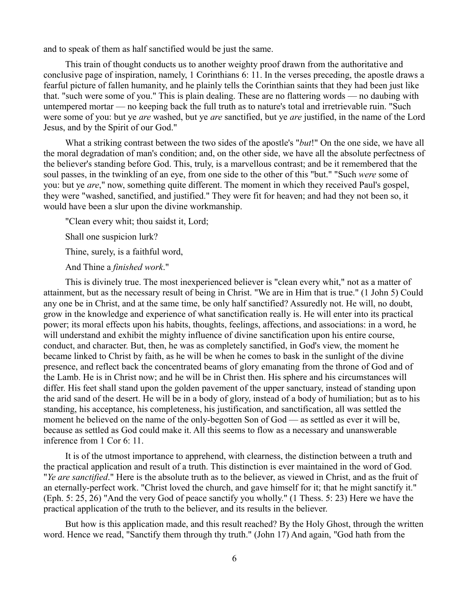and to speak of them as half sanctified would be just the same.

This train of thought conducts us to another weighty proof drawn from the authoritative and conclusive page of inspiration, namely, 1 Corinthians 6: 11. In the verses preceding, the apostle draws a fearful picture of fallen humanity, and he plainly tells the Corinthian saints that they had been just like that. "such were some of you." This is plain dealing. These are no flattering words — no daubing with untempered mortar — no keeping back the full truth as to nature's total and irretrievable ruin. "Such were some of you: but ye *are* washed, but ye *are* sanctified, but ye *are* justified, in the name of the Lord Jesus, and by the Spirit of our God."

What a striking contrast between the two sides of the apostle's "*but*!" On the one side, we have all the moral degradation of man's condition; and, on the other side, we have all the absolute perfectness of the believer's standing before God. This, truly, is a marvellous contrast; and be it remembered that the soul passes, in the twinkling of an eye, from one side to the other of this "but." "Such *were* some of you: but ye *are*," now, something quite different. The moment in which they received Paul's gospel, they were "washed, sanctified, and justified." They were fit for heaven; and had they not been so, it would have been a slur upon the divine workmanship.

"Clean every whit; thou saidst it, Lord;

Shall one suspicion lurk?

Thine, surely, is a faithful word,

And Thine a *finished work*."

This is divinely true. The most inexperienced believer is "clean every whit," not as a matter of attainment, but as the necessary result of being in Christ. "We are in Him that is true." (1 John 5) Could any one be in Christ, and at the same time, be only half sanctified? Assuredly not. He will, no doubt, grow in the knowledge and experience of what sanctification really is. He will enter into its practical power; its moral effects upon his habits, thoughts, feelings, affections, and associations: in a word, he will understand and exhibit the mighty influence of divine sanctification upon his entire course, conduct, and character. But, then, he was as completely sanctified, in God's view, the moment he became linked to Christ by faith, as he will be when he comes to bask in the sunlight of the divine presence, and reflect back the concentrated beams of glory emanating from the throne of God and of the Lamb. He is in Christ now; and he will be in Christ then. His sphere and his circumstances will differ. His feet shall stand upon the golden pavement of the upper sanctuary, instead of standing upon the arid sand of the desert. He will be in a body of glory, instead of a body of humiliation; but as to his standing, his acceptance, his completeness, his justification, and sanctification, all was settled the moment he believed on the name of the only-begotten Son of God — as settled as ever it will be, because as settled as God could make it. All this seems to flow as a necessary and unanswerable inference from 1 Cor 6: 11.

It is of the utmost importance to apprehend, with clearness, the distinction between a truth and the practical application and result of a truth. This distinction is ever maintained in the word of God. "*Ye are sanctified*." Here is the absolute truth as to the believer, as viewed in Christ, and as the fruit of an eternally-perfect work. "Christ loved the church, and gave himself for it; that he might sanctify it." (Eph. 5: 25, 26) "And the very God of peace sanctify you wholly." (1 Thess. 5: 23) Here we have the practical application of the truth to the believer, and its results in the believer.

But how is this application made, and this result reached? By the Holy Ghost, through the written word. Hence we read, "Sanctify them through thy truth." (John 17) And again, "God hath from the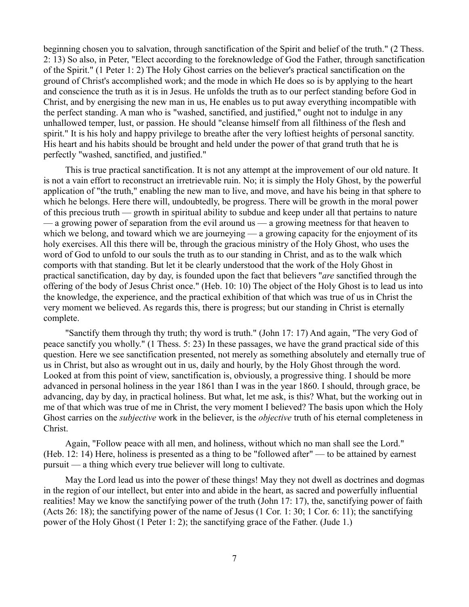beginning chosen you to salvation, through sanctification of the Spirit and belief of the truth." (2 Thess. 2: 13) So also, in Peter, "Elect according to the foreknowledge of God the Father, through sanctification of the Spirit." (1 Peter 1: 2) The Holy Ghost carries on the believer's practical sanctification on the ground of Christ's accomplished work; and the mode in which He does so is by applying to the heart and conscience the truth as it is in Jesus. He unfolds the truth as to our perfect standing before God in Christ, and by energising the new man in us, He enables us to put away everything incompatible with the perfect standing. A man who is "washed, sanctified, and justified," ought not to indulge in any unhallowed temper, lust, or passion. He should "cleanse himself from all filthiness of the flesh and spirit." It is his holy and happy privilege to breathe after the very loftiest heights of personal sanctity. His heart and his habits should be brought and held under the power of that grand truth that he is perfectly "washed, sanctified, and justified."

This is true practical sanctification. It is not any attempt at the improvement of our old nature. It is not a vain effort to reconstruct an irretrievable ruin. No; it is simply the Holy Ghost, by the powerful application of "the truth," enabling the new man to live, and move, and have his being in that sphere to which he belongs. Here there will, undoubtedly, be progress. There will be growth in the moral power of this precious truth — growth in spiritual ability to subdue and keep under all that pertains to nature — a growing power of separation from the evil around us — a growing meetness for that heaven to which we belong, and toward which we are journeying — a growing capacity for the enjoyment of its holy exercises. All this there will be, through the gracious ministry of the Holy Ghost, who uses the word of God to unfold to our souls the truth as to our standing in Christ, and as to the walk which comports with that standing. But let it be clearly understood that the work of the Holy Ghost in practical sanctification, day by day, is founded upon the fact that believers "*are* sanctified through the offering of the body of Jesus Christ once." (Heb. 10: 10) The object of the Holy Ghost is to lead us into the knowledge, the experience, and the practical exhibition of that which was true of us in Christ the very moment we believed. As regards this, there is progress; but our standing in Christ is eternally complete.

"Sanctify them through thy truth; thy word is truth." (John 17: 17) And again, "The very God of peace sanctify you wholly." (1 Thess. 5: 23) In these passages, we have the grand practical side of this question. Here we see sanctification presented, not merely as something absolutely and eternally true of us in Christ, but also as wrought out in us, daily and hourly, by the Holy Ghost through the word. Looked at from this point of view, sanctification is, obviously, a progressive thing. I should be more advanced in personal holiness in the year 1861 than I was in the year 1860. I should, through grace, be advancing, day by day, in practical holiness. But what, let me ask, is this? What, but the working out in me of that which was true of me in Christ, the very moment I believed? The basis upon which the Holy Ghost carries on the *subjective* work in the believer, is the *objective* truth of his eternal completeness in Christ.

Again, "Follow peace with all men, and holiness, without which no man shall see the Lord." (Heb. 12: 14) Here, holiness is presented as a thing to be "followed after" — to be attained by earnest pursuit — a thing which every true believer will long to cultivate.

May the Lord lead us into the power of these things! May they not dwell as doctrines and dogmas in the region of our intellect, but enter into and abide in the heart, as sacred and powerfully influential realities! May we know the sanctifying power of the truth (John 17: 17), the, sanctifying power of faith (Acts 26: 18); the sanctifying power of the name of Jesus (1 Cor. 1: 30; 1 Cor. 6: 11); the sanctifying power of the Holy Ghost (1 Peter 1: 2); the sanctifying grace of the Father. (Jude 1.)